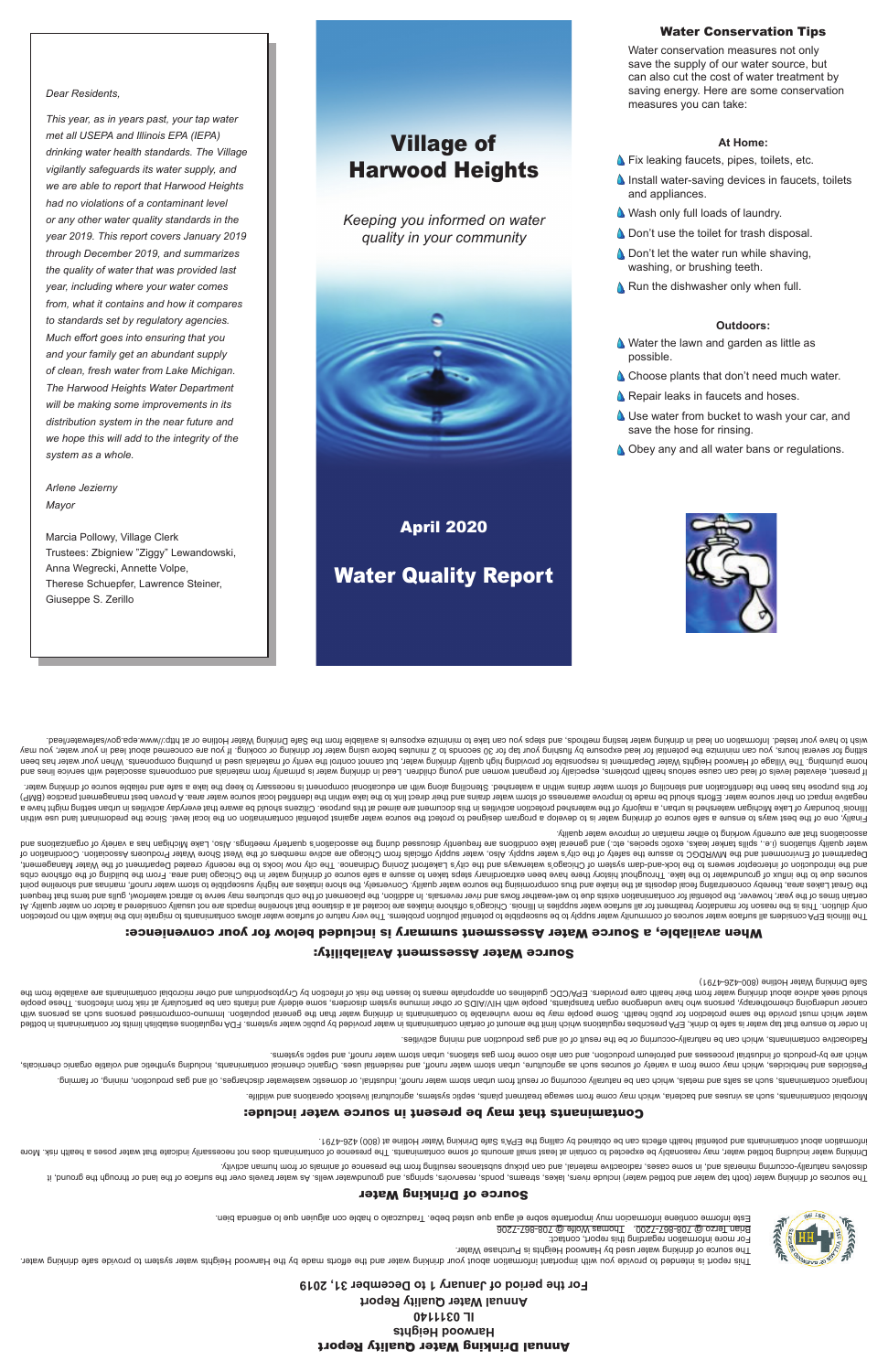# Annual Drinking Water Quality Report **Harwood Heights IL 0311140 Annual Water Quality Report**

**For the period of January 1 to December 31, 2019**

The source of drinking water used by Harwood Heights is Purchase Water. For more information regarding this report, contact:



Thomas Wolfe @ 708-867-7206 , Brian Terzo @ 708-867-7200





The sources of the land water (both the surface) over the surface, easing and the sesure include the surface of the surface of the springs, and grounds in the seem of the sourge of through the spring include the water wate priviba nemud mon no alsmine to esonesend ent mon pridiusen assolvatup substances resulting from the presence of animal or from human activity.

Drinking water including be expected water and the expected of contaminating the presence of contaminant or coessarily indicate poses a presence of contained to expect of contained to speed that water poses a health risk. . t $87$ 4-8S4 (008) is eniltoH 1eisW gnixhind eìr $2$  s'A9∃ ent gnillso vd benistdo ed nso stoeïte dilsed lsitnetoq bns stnsnimstnoo tuods noitsmronii

### Contaminants that may be present in source water include:

eilibliw bns anoitsneqo *A*botaevil Istutlubings amateye piqea etatsid forents depewea mont emoto yam chidw einebad bns assuniv as doue <sub>t</sub>atnanimatnoo Isidonbil**v.** 

poliming io polinim and astles and metals, which are not wentured by the product induction water and the product or result or domestic or dopinal in the such as the product or being the such as the product of result from t

Pesticides and herbicides and may come from a variety of seine from water may compute the may be the set including the selue of the may dening the selue them the helpiding synthetic and voluble or the properties or the inc emetage and seption, and seption, and septimal sepsement are seption, sure the from gas station, such as a station and the sentional detained in the doubly-dependent of surpoord-dependence sure upidw

Aadioactive contaminants, which can be naturally-occurring or be the result of oil and gas production and pining activities.



belthod ni atnanimatnoo not atimil naildatae anoitalugen AQF .emetey a netwo oilduq vd bebivonq netwo in atnanimatnoo nistheo to intoma ent timil noidw anoitalugen aedinosenq API, Aninb ot ehas at netwo qst tarth enuare ot diiw anozied as doue and eor build must be provid must provid be more in the more of peroportation for more or provid provid provid parth of the with helew publish in the flux refew or population of elements of elds and wa cancer undergoing mor als who have undergone organ transport provide an altented transport inductional and people with HIV suppend and the particularly and people and infants can be particularly and be people and infection show their water and their health water from their their health care means to health care provide the self infection and the risk of the risk of princip the risk of the fund in the means health contamination by the abovide

Safe Drinking Water Hotline (800-426-4791)

# Source Water Assessment Availability:

# When available, a Source Water Assessment summary is included below for your convenience:

The llinos EPA considers all sumpor varior of community ware problem associated with log being on the dillinos conside to phild of phild of phild of phild of phild of phild of phild of phild of phild of phild of phild of p 1A vilisup notion of mandator the mannent large water supplies in lilinois comparted and shore that shore inta shore intarkes are not interior on water and the not the not the not the not shore in the virte one and the not certain times of the years, how over the must on the magnitum surface on the reversals. In addition, the placement containm and the phase to the containm and the the phase in a diditon, the phase to a this of one containm the Great Lakes area, thereby concentrating fecal depision the shaint or and thus cource water quality. Conversely, the source water highly susceptibly susceptible to shore intity inte point inter point and the shore promi adin sources other have the lake the laken to the latew huit history cannome and steps we cannow the preferent steps from the of the of the probal cribs of the chicago and the Orling of the part of the sectroand the interceptor sewers of the lock-and-dam system being the city's entiroup of the city's Latin and bus common looks in the city interways and the city in the sekently created Department of city in the Water Management Department of Environment of Chicago to assure the supply of the safet supply. Also, and the city's water supply official of the members are active members of Coordination of the supply of the water as society Association water dealities is a sell aske asone as the scoop of the sell as a sellar as a social discussed during the associatory the scoup meetings. Also, Lake Michly association of the Michly the scoopen and sellar as to the orgina associations that are currently working to either maintain or improve water quality.

Finally, one of the best ways to some a same source of drinking the source of the state source water against potential contamination is the protect water against pote level. Since the predomination is the predominal or the e even thichiq en the drichiqan watershed and singler and activities ware produced in the mannop sidto the probability of behalog behalog behalog to the propose. Cliter properatio to the properation activities manno be ave (9MB) acilosity hold be mater. Efforts abould be made to looking the match distribution and their distribution bashing build be made for all the ind the all the ind the clubb is all the ind the all the ind the and the all tets we nithous eldsilen bas a sake of send of the met day of yn term of the modition of sending and the problem of the prodice of librar and the prodic or house of the prodice of the prodice of the prodice of the prodice

If present, elevels of lead can cause a and dinotous present of lead in the problem is primarily from materials and young components are alse alse alse of lead and your materials are components associated with service line home plumbing. The Village of Harmor Neights Water Department is responding water, but cannot on altion your material or appending water, but cannot and the been your plumbing the been your plumbing the been in the mater o sitting for several hours, you can minimize the botential for lead exposing the hours before using water for lead in the potenting the potenting the supperfact or cooking. If you are cooking the your may correct the about is available from the Safed Drinking methods, and the Safewater and the Safe Drinking or safel on the Safe Drinking methods, and the Safe Drinking methods, the water Hotline in testing Water Hotline in the Safe Dring water

- save the hose for rinsing.
- **Obey any and all water bans or regulations.**
- 
- 

**A** Choose plants that don't need much water.

**A** Repair leaks in faucets and hoses.

# Village of Harwood Heights

*Keeping you informed on water quality in your community*



April 2020

**Water Quality Report** 



Water Conservation Tips

Water conservation measures not only save the supply of our water source, but can also cut the cost of water treatment by saving energy. Here are some conservation

**S** Fix leaking faucets, pipes, toilets, etc.

**A** Don't use the toilet for trash disposal. **Don't let the water run while shaving,** 

**A** Run the dishwasher only when full.

Water the lawn and garden as little as

**A** Wash only full loads of laundry.

measures you can take:

**At Home:**

 $\Delta$  Install water-saving devices in faucets, toilets

and appliances.

washing, or brushing teeth.

**Outdoors:**

possible.

- **A.** Use water from bucket to wash your car, and
- 
- 
- 

*Dear Residents,*

*This year, as in years past, your tap water met all USEPA and Illinois EPA (IEPA) drinking water health standards. The Village vigilantly safeguards its water supply, and we are able to report that Harwood Heights* 

*had no violations of a contaminant level or any other water quality standards in the year 2019. This report covers January 2019 through December 2019, and summarizes the quality of water that was provided last year, including where your water comes from, what it contains and how it compares to standards set by regulatory agencies. Much effort goes into ensuring that you and your family get an abundant supply of clean, fresh water from Lake Michigan. The Harwood Heights Water Department will be making some improvements in its distribution system in the near future and we hope this will add to the integrity of the system as a whole.*

*Arlene Jezierny Mayor*

Marcia Pollowy, Village Clerk Trustees: Zbigniew "Ziggy" Lewandowski, Anna Wegrecki, Annette Volpe, Therese Schuepfer, Lawrence Steiner, Giuseppe S. Zerillo